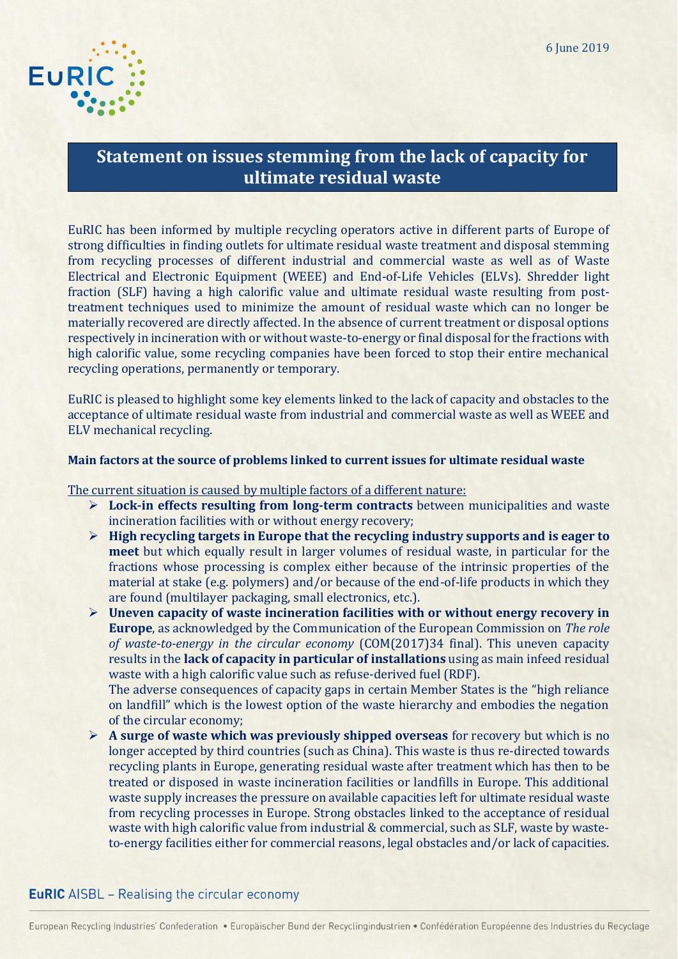

# **Statement on issues stemming from the lack of capacity for ultimate residual waste**

EuRIC has been informed by multiple recycling operators active in different parts of Europe of strong difficulties in finding outlets for ultimate residual waste treatment and disposal stemming from recycling processes of different industrial and commercial waste as well as of [Waste](http://ec.europa.eu/environment/waste/weee/index_en.htm)  [Electrical and Electronic Equipment](http://ec.europa.eu/environment/waste/weee/index_en.htm) (WEEE) and End-of-Life Vehicles (ELVs). Shredder light fraction (SLF) having a high calorific value and ultimate residual waste resulting from posttreatment techniques used to minimize the amount of residual waste which can no longer be materially recovered are directly affected. In the absence of current treatment or disposal options respectively in incineration with or without waste-to-energy or final disposal for the fractions with high calorific value, some recycling companies have been forced to stop their entire mechanical recycling operations, permanently or temporary.

EuRIC is pleased to highlight some key elements linked to the lack of capacity and obstacles to the acceptance of ultimate residual waste from industrial and commercial waste as well as WEEE and ELV mechanical recycling.

### **Main factors at the source of problems linked to current issues for ultimate residual waste**

The current situation is caused by multiple factors of a different nature:

- **Lock-in effects resulting from long-term contracts** between municipalities and waste incineration facilities with or without energy recovery;
- **High recycling targets in Europe that the recycling industry supports and is eager to meet** but which equally result in larger volumes of residual waste, in particular for the fractions whose processing is complex either because of the intrinsic properties of the material at stake (e.g. polymers) and/or because of the end-of-life products in which they are found (multilayer packaging, small electronics, etc.).
- **Uneven capacity of waste incineration facilities with or without energy recovery in Europe**, as acknowledged by the Communication of the European Commission on *The role of waste-to-energy in the circular economy* (COM(2017)34 final). This uneven capacity results in the **lack of capacity in particular of installations** using as main infeed residual waste with a high calorific value such as refuse-derived fuel (RDF).

The adverse consequences of capacity gaps in certain Member States is the "high reliance on landfill" which is the lowest option of the waste hierarchy and embodies the negation of the circular economy;

 **A surge of waste which was previously shipped overseas** for recovery but which is no longer accepted by third countries (such as China). This waste is thus re-directed towards recycling plants in Europe, generating residual waste after treatment which has then to be treated or disposed in waste incineration facilities or landfills in Europe. This additional waste supply increases the pressure on available capacities left for ultimate residual waste from recycling processes in Europe. Strong obstacles linked to the acceptance of residual waste with high calorific value from industrial & commercial, such as SLF, waste by wasteto-energy facilities either for commercial reasons, legal obstacles and/or lack of capacities.

# **EuRIC** AISBL - Realising the circular economy